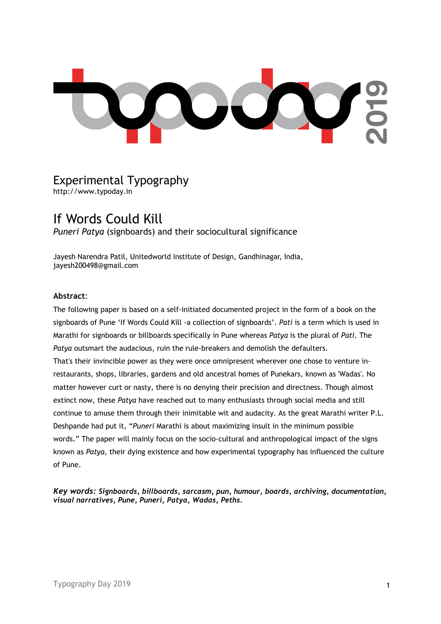HOO  $\begin{pmatrix} 1 & 1 \\ 1 & 1 \end{pmatrix}$ 

# Experimental Typography http://www.typoday.in

# If Words Could Kill

*Puneri Patya* (signboards) and their sociocultural significance

Jayesh Narendra Patil, Unitedworld Institute of Design, Gandhinagar, India, jayesh200498@gmail.com

## **Abstract**:

The following paper is based on a self-initiated documented project in the form of a book on the signboards of Pune 'If Words Could Kill -a collection of signboards'. *Pati* is a term which is used in Marathi for signboards or billboards specifically in Pune whereas *Patya* is the plural of *Pati*. The *Patya* outsmart the audacious, ruin the rule-breakers and demolish the defaulters. That's their invincible power as they were once omnipresent wherever one chose to venture inrestaurants, shops, libraries, gardens and old ancestral homes of Punekars, known as 'Wadas'. No matter however curt or nasty, there is no denying their precision and directness. Though almost extinct now, these *Patya* have reached out to many enthusiasts through social media and still continue to amuse them through their inimitable wit and audacity. As the great Marathi writer P.L. Deshpande had put it, "*Puneri* Marathi is about maximizing insult in the minimum possible words." The paper will mainly focus on the socio-cultural and anthropological impact of the signs known as *Patya*, their dying existence and how experimental typography has influenced the culture of Pune.

*Key words: Signboards, billboards, sarcasm, pun, humour, boards, archiving, documentation, visual narratives, Pune, Puneri, Patya, Wadas, Peths.*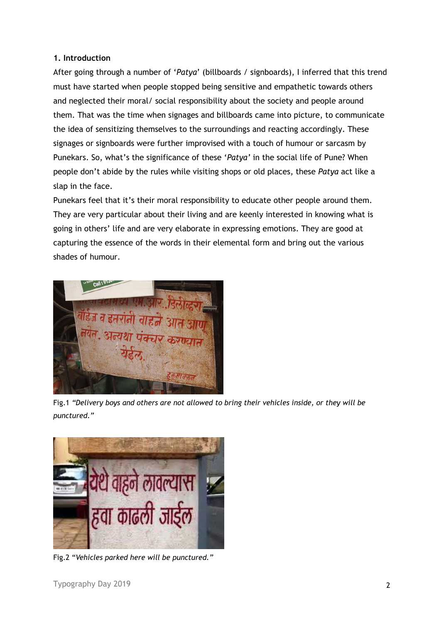# **1. Introduction**

After going through a number of '*Patya*' (billboards / signboards), I inferred that this trend must have started when people stopped being sensitive and empathetic towards others and neglected their moral/ social responsibility about the society and people around them. That was the time when signages and billboards came into picture, to communicate the idea of sensitizing themselves to the surroundings and reacting accordingly. These signages or signboards were further improvised with a touch of humour or sarcasm by Punekars. So, what's the significance of these '*Patya'* in the social life of Pune? When people don't abide by the rules while visiting shops or old places, these *Patya* act like a slap in the face.

Punekars feel that it's their moral responsibility to educate other people around them. They are very particular about their living and are keenly interested in knowing what is going in others' life and are very elaborate in expressing emotions. They are good at capturing the essence of the words in their elemental form and bring out the various shades of humour.



Fig.1 *"Delivery boys and others are not allowed to bring their vehicles inside, or they will be punctured."*



Fig.2 "*Vehicles parked here will be punctured."*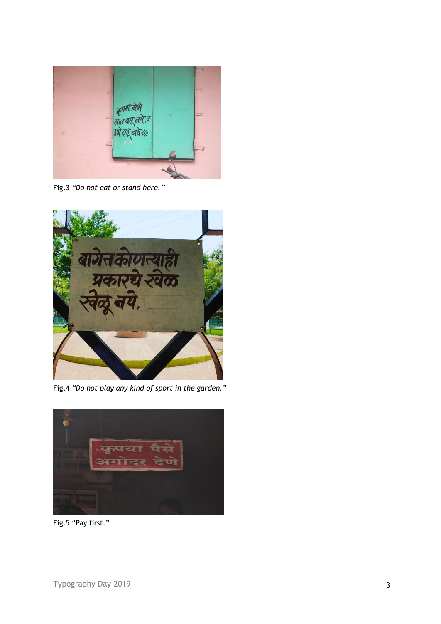

Fig.3 *"Do not eat or stand here.''*



Fig.4 *"Do not play any kind of sport in the garden."*



Fig.5 "Pay first."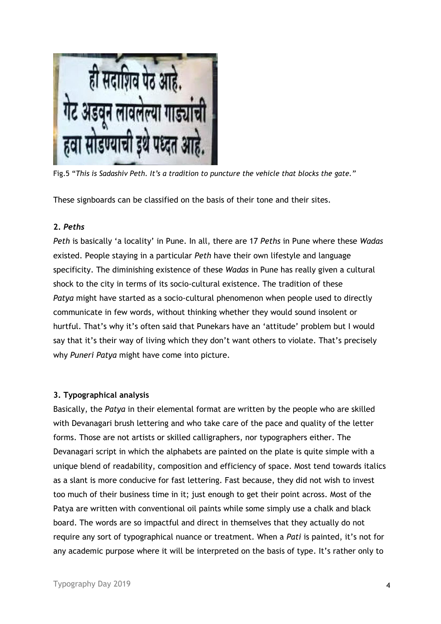

Fig.5 "*This is Sadashiv Peth. It's a tradition to puncture the vehicle that blocks the gate."*

These signboards can be classified on the basis of their tone and their sites.

## **2.** *Peths*

*Peth* is basically 'a locality' in Pune. In all, there are 17 *Peths* in Pune where these *Wadas*  existed. People staying in a particular *Peth* have their own lifestyle and language specificity. The diminishing existence of these *Wadas* in Pune has really given a cultural shock to the city in terms of its socio-cultural existence. The tradition of these *Patya* might have started as a socio-cultural phenomenon when people used to directly communicate in few words, without thinking whether they would sound insolent or hurtful. That's why it's often said that Punekars have an 'attitude' problem but I would say that it's their way of living which they don't want others to violate. That's precisely why *Puneri Patya* might have come into picture.

# **3. Typographical analysis**

Basically, the *Patya* in their elemental format are written by the people who are skilled with Devanagari brush lettering and who take care of the pace and quality of the letter forms. Those are not artists or skilled calligraphers, nor typographers either. The Devanagari script in which the alphabets are painted on the plate is quite simple with a unique blend of readability, composition and efficiency of space. Most tend towards italics as a slant is more conducive for fast lettering. Fast because, they did not wish to invest too much of their business time in it; just enough to get their point across. Most of the Patya are written with conventional oil paints while some simply use a chalk and black board. The words are so impactful and direct in themselves that they actually do not require any sort of typographical nuance or treatment. When a *Pati* is painted, it's not for any academic purpose where it will be interpreted on the basis of type. It's rather only to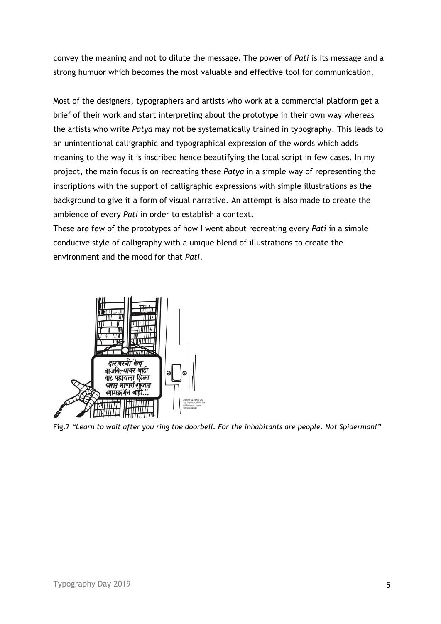convey the meaning and not to dilute the message. The power of *Pati* is its message and a strong humuor which becomes the most valuable and effective tool for communication.

Most of the designers, typographers and artists who work at a commercial platform get a brief of their work and start interpreting about the prototype in their own way whereas the artists who write *Patya* may not be systematically trained in typography. This leads to an unintentional calligraphic and typographical expression of the words which adds meaning to the way it is inscribed hence beautifying the local script in few cases. In my project, the main focus is on recreating these *Patya* in a simple way of representing the inscriptions with the support of calligraphic expressions with simple illustrations as the background to give it a form of visual narrative. An attempt is also made to create the ambience of every *Pati* in order to establish a context.

These are few of the prototypes of how I went about recreating every *Pati* in a simple conducive style of calligraphy with a unique blend of illustrations to create the environment and the mood for that *Pati*.



Fig.7 *"Learn to wait after you ring the doorbell. For the inhabitants are people. Not Spiderman!"*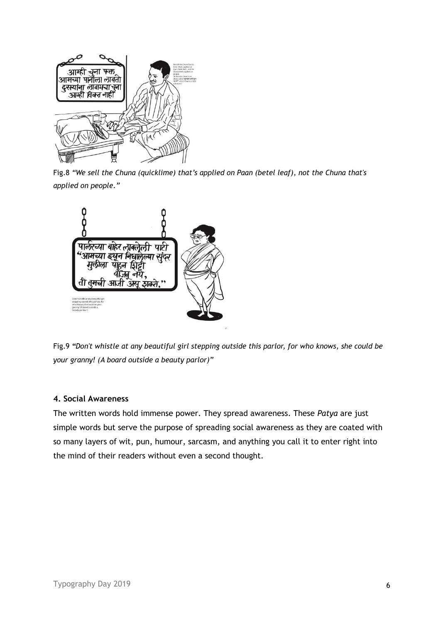

Fig.8 *"We sell the Chuna (quicklime) that's applied on Paan (betel leaf), not the Chuna that's applied on people."*



Fig.9 *"Don't whistle at any beautiful girl stepping outside this parlor, for who knows, she could be your granny! (A board outside a beauty parlor)"*

#### **4. Social Awareness**

The written words hold immense power. They spread awareness. These *Patya* are just simple words but serve the purpose of spreading social awareness as they are coated with so many layers of wit, pun, humour, sarcasm, and anything you call it to enter right into the mind of their readers without even a second thought.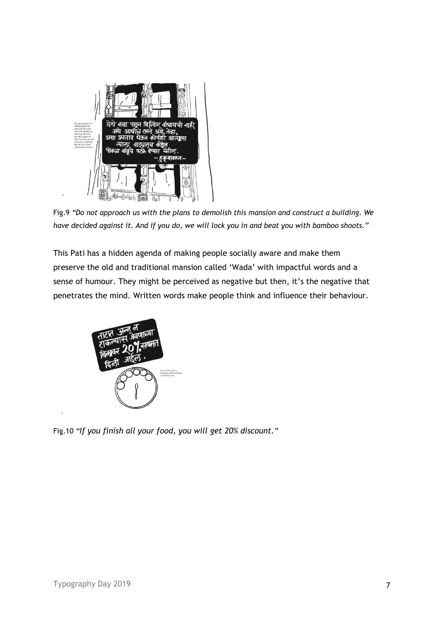

Fig.9 *"Do not approach us with the plans to demolish this mansion and construct a building. We have decided against it. And if you do, we will lock you in and beat you with bamboo shoots."*

This Pati has a hidden agenda of making people socially aware and make them preserve the old and traditional mansion called 'Wada' with impactful words and a sense of humour. They might be perceived as negative but then, it's the negative that penetrates the mind. Written words make people think and influence their behaviour.



Fig.10 *"If you finish all your food, you will get 20% discount."*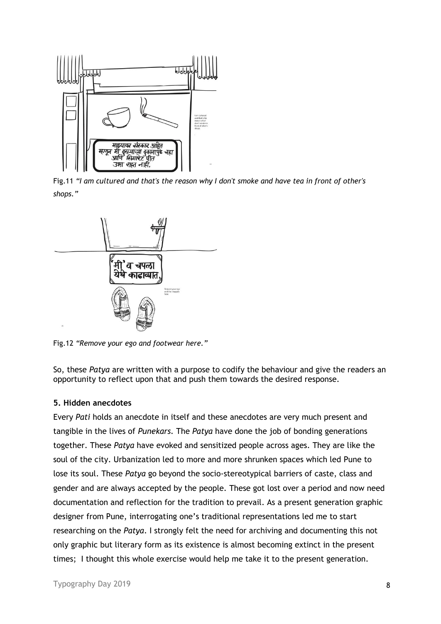

Fig.11 *"I am cultured and that's the reason why I don't smoke and have tea in front of other's shops."*



Fig.12 *"Remove your ego and footwear here."*

So, these *Patya* are written with a purpose to codify the behaviour and give the readers an opportunity to reflect upon that and push them towards the desired response.

#### **5. Hidden anecdotes**

Every *Pati* holds an anecdote in itself and these anecdotes are very much present and tangible in the lives of *Punekars.* The *Patya* have done the job of bonding generations together. These *Patya* have evoked and sensitized people across ages. They are like the soul of the city. Urbanization led to more and more shrunken spaces which led Pune to lose its soul. These *Patya* go beyond the socio-stereotypical barriers of caste, class and gender and are always accepted by the people. These got lost over a period and now need documentation and reflection for the tradition to prevail. As a present generation graphic designer from Pune, interrogating one's traditional representations led me to start researching on the *Patya*. I strongly felt the need for archiving and documenting this not only graphic but literary form as its existence is almost becoming extinct in the present times; I thought this whole exercise would help me take it to the present generation.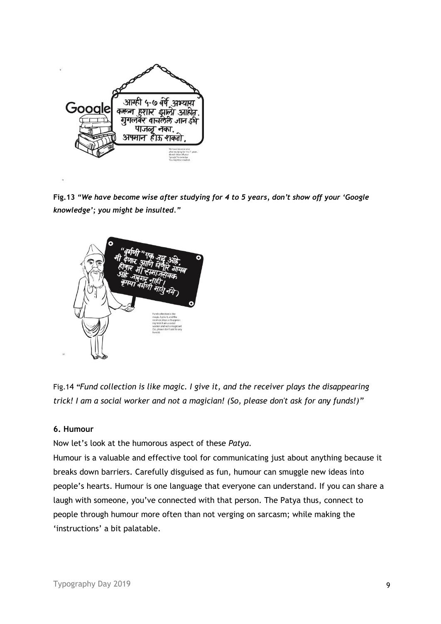

**Fig.13** *"We have become wise after studying for 4 to 5 years, don't show off your 'Google knowledge'; you might be insulted."* 



Fig.14 *"Fund collection is like magic. I give it, and the receiver plays the disappearing trick! I am a social worker and not a magician! (So, please don't ask for any funds!)"*

## **6. Humour**

Now let's look at the humorous aspect of these *Patya.*

Humour is a valuable and effective tool for communicating just about anything because it breaks down barriers. Carefully disguised as fun, humour can smuggle new ideas into people's hearts. Humour is one language that everyone can understand. If you can share a laugh with someone, you've connected with that person. The Patya thus, connect to people through humour more often than not verging on sarcasm; while making the 'instructions' a bit palatable.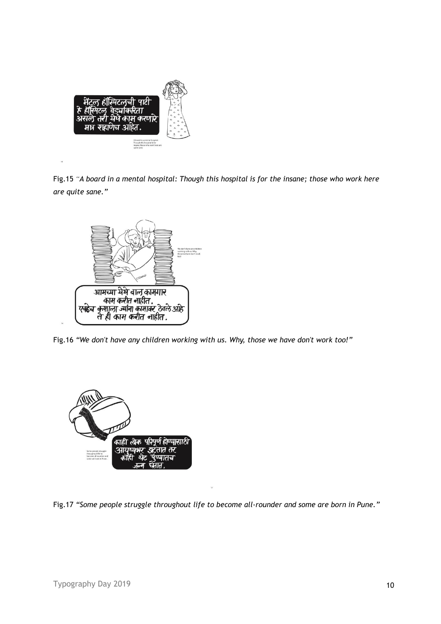

Fig.15 *"A board in a mental hospital: Though this hospital is for the insane; those who work here are quite sane."*



Fig.16 *"We don't have any children working with us. Why, those we have don't work too!"*



Fig.17 *"Some people struggle throughout life to become all-rounder and some are born in Pune."*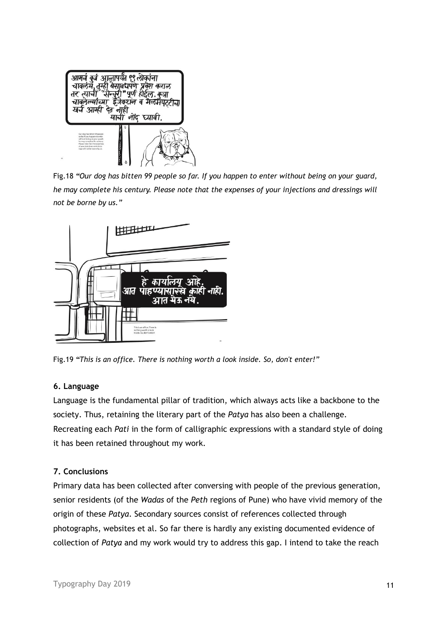

Fig.18 *"Our dog has bitten 99 people so far. If you happen to enter without being on your guard, he may complete his century. Please note that the expenses of your injections and dressings will not be borne by us."*



Fig.19 *"This is an office. There is nothing worth a look inside. So, don't enter!"*

#### **6. Language**

Language is the fundamental pillar of tradition, which always acts like a backbone to the society. Thus, retaining the literary part of the *Patya* has also been a challenge. Recreating each *Pati* in the form of calligraphic expressions with a standard style of doing it has been retained throughout my work.

#### **7. Conclusions**

Primary data has been collected after conversing with people of the previous generation, senior residents (of the *Wadas* of the *Peth* regions of Pune) who have vivid memory of the origin of these *Patya*. Secondary sources consist of references collected through photographs, websites et al. So far there is hardly any existing documented evidence of collection of *Patya* and my work would try to address this gap. I intend to take the reach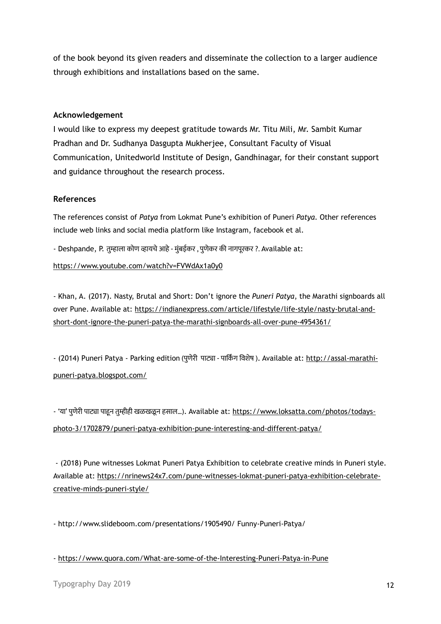of the book beyond its given readers and disseminate the collection to a larger audience through exhibitions and installations based on the same.

#### **Acknowledgement**

I would like to express my deepest gratitude towards Mr. Titu Mili, Mr. Sambit Kumar Pradhan and Dr. Sudhanya Dasgupta Mukherjee, Consultant Faculty of Visual Communication, Unitedworld Institute of Design, Gandhinagar, for their constant support and guidance throughout the research process.

#### **References**

The references consist of *Patya* from Lokmat Pune's exhibition of Puneri *Patya*. Other references include web links and social media platform like Instagram, facebook et al.

- Deshpande, P. तुम्हाला कोण व्हायचे आहे - मुुंबईकर , पुणेकर की नागपूरकर ?. Available at:

<https://www.youtube.com/watch?v=FVWdAx1a0y0>

- Khan, A. (2017). Nasty, Brutal and Short: Don't ignore the *Puneri Patya*, the Marathi signboards all over Pune. Available at: [https://indianexpress.com/article/lifestyle/life-style/nasty-brutal-and](https://indianexpress.com/article/lifestyle/life-style/nasty-brutal-and-short-dont-ignore-the-puneri-patya-the-marathi-signboards-all-over-pune-4954361/)[short-dont-ignore-the-puneri-patya-the-marathi-signboards-all-over-pune-4954361/](https://indianexpress.com/article/lifestyle/life-style/nasty-brutal-and-short-dont-ignore-the-puneri-patya-the-marathi-signboards-all-over-pune-4954361/)

- (2014) Puneri Patya - Parking edition (पुणेरी पाट्या - पार्किं ग विशेष ). Available at: [http://assal-marathi](http://assal-marathi-puneri-patya.blogspot.com/)[puneri-patya.blogspot.com/](http://assal-marathi-puneri-patya.blogspot.com/)

- 'या' पुणेरी पाट्या पाहून तुम्हीही खळखळून हसाल…). Available at: [https://www.loksatta.com/photos/todays](https://www.loksatta.com/photos/todays-photo-3/1702879/puneri-patya-exhibition-pune-interesting-and-different-patya/)[photo-3/1702879/puneri-patya-exhibition-pune-interesting-and-different-patya/](https://www.loksatta.com/photos/todays-photo-3/1702879/puneri-patya-exhibition-pune-interesting-and-different-patya/)

- (2018) Pune witnesses Lokmat Puneri Patya Exhibition to celebrate creative minds in Puneri style. Available at: [https://nrinews24x7.com/pune-witnesses-lokmat-puneri-patya-exhibition-celebrate](https://nrinews24x7.com/pune-witnesses-lokmat-puneri-patya-exhibition-celebrate-creative-minds-puneri-style/)[creative-minds-puneri-style/](https://nrinews24x7.com/pune-witnesses-lokmat-puneri-patya-exhibition-celebrate-creative-minds-puneri-style/)

- http://www.slideboom.com/presentations/1905490/ Funny-Puneri-Patya/

- <https://www.quora.com/What-are-some-of-the-Interesting-Puneri-Patya-in-Pune>